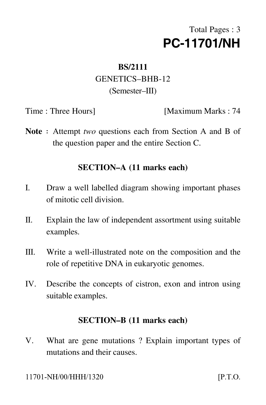# Total Pages : 3 **PC-11701/NH**

## **BS/2111** GENETICS–BHB-12 (Semester–III)

Time : Three Hours [Maximum Marks : 74]

Note : Attempt *two* questions each from Section A and B of the question paper and the entire Section C.

#### **SECTION–A (11 marks each)**

- I. Draw a well labelled diagram showing important phases of mitotic cell division.
- II. Explain the law of independent assortment using suitable examples.
- III. Write a well-illustrated note on the composition and the role of repetitive DNA in eukaryotic genomes.
- IV. Describe the concepts of cistron, exon and intron using suitable examples.

#### **SECTION–B (11 marks each)**

V. What are gene mutations ? Explain important types of mutations and their causes.

 $[$ P.T.O.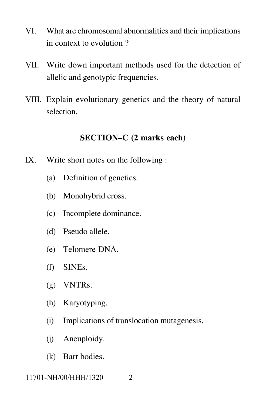- VI. What are chromosomal abnormalities and their implications in context to evolution ?
- VII. Write down important methods used for the detection of allelic and genotypic frequencies.
- VIII. Explain evolutionary genetics and the theory of natural selection.

### **SECTION–C (2 marks each)**

- IX. Write short notes on the following :
	- (a) Definition of genetics.
	- (b) Monohybrid cross.
	- (c) Incomplete dominance.
	- (d) Pseudo allele.
	- (e) Telomere DNA.
	- (f) SINEs.
	- (g) VNTRs.
	- (h) Karyotyping.
	- (i) Implications of translocation mutagenesis.
	- (j) Aneuploidy.
	- (k) Barr bodies.

11701-NH/00/HHH/1320 2